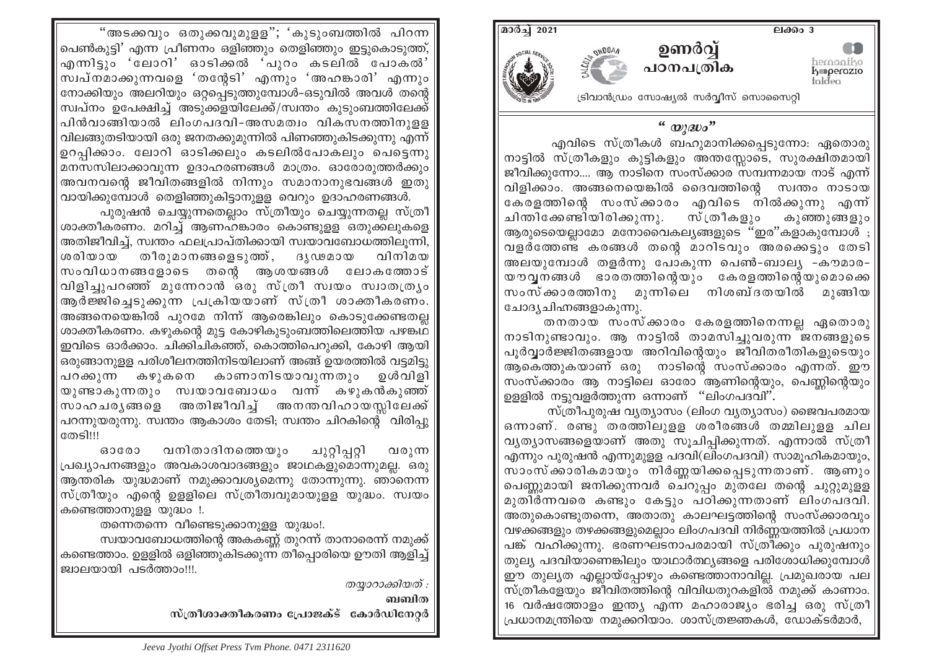

 $\lq\lq$   $\lq$   $\lq$   $\lq$   $\lq$   $\lq$   $\lq$   $\lq$   $\lq$   $\lq$   $\lq$   $\lq$   $\lq$   $\lq$   $\lq$   $\lq$   $\lq$   $\lq$   $\lq$   $\lq$   $\lq$   $\lq$   $\lq$   $\lq$   $\lq$   $\lq$   $\lq$   $\lq$   $\lq$   $\lq$   $\lq$   $\lq$   $\lq$   $\lq$   $\lq$   $\lq$   $\$ 

എവിടെ സ്ത്രീകൾ ബഹുമാനിക്കപ്പെടുന്നോ: ഏതൊരു നാട്ടിൽ സ്ത്രീകളും കുട്ടികളും അന്തസ്സോടെ, സുരക്ഷിതമായി ജീവിക്കുന്നോ.... ആ നാടിനെ സംസ്ക്കാര സമ്പന്നമായ നാട് എന്ന് വിളിക്കാം. അങ്ങനെയെങ്കിൽ ദൈവത്തിന്റെ സ്വന്തം നാടായ കേരളത്തിന്റെ സംസ്ക്കാരം എവിടെ നിൽക്കുന്നു എന്ന് ചിന്തിക്കേണ്ടിയിരിക്കുന്നു. സ്ത്രീകളും കുഞ്ഞുങ്ങളും അരുടെയെലാമോ മനോവൈകല്യങ്ങളുടെ "ഇര"കളാകുമ്പോൾ : വളർത്തേണ്ട് കരങ്ങൾ തന്റെ മാറിടവും അരക്കെട്ടും തേടി അലയുമ്പോൾ തളർന്നു പോകുന്ന പെൺ-ബാല്യ -കൗമാര-യൗവനങ്ങൾ ഭാരതത്തിന്റെയും കേരളത്തിന്റെയുമൊക്കെ മുന്നിലെ നിശബ്ദതയിൽ ` സംസ്ക്കാരത്തിനു മുങ്ങിയ ചോദ്യചിഹ്നങ്ങളാകുന്നു.

തനതായ സംസ്ക്കാരം കേരളത്തിനെന്നല്ല ഏതൊരു നാടിനുണ്ടാവും. ആ നാട്ടിൽ താമസിച്ചുവരുന്ന ജനങ്ങളുടെ പൂർവാർജ്ജിതങ്ങളായ അറിവിന്റെയും ജീവിതരീതികളുടെയും ആകെത്തുകയാണ് ഒരു നാടിന്റെ സംസ്ക്കാരം എന്നത്. ഈ സംസ്ക്കാരം ആ നാട്ടിലെ ഓരോ ആണിന്റെയും, പെണ്ണിന്റെയും ഉള്ളിൽ നട്ടുവളർത്തുന്ന ഒന്നാണ് "ലിംഗപദവി".

സ്ത്രീപുരുഷ വൃത്യാസം (ലിംഗ വൃത്യാസം) ജൈവപരമായ ഒന്നാണ്. രണ്ടു തരത്തിലുളള ശരീരങ്ങൾ തമ്മിലുളള ചില| വൃത്യാസങ്ങളെയാണ് അതു സുചിപ്പിക്കുന്നത്. എന്നാൽ സ്ത്രീ $|$ എന്നും പുരുഷൻ എന്നുമുള്ള പദവി(ലിംഗപദവി) സാമുഹികമായും, സാംസ്ക്കാരികമായും നിർണ്ണയിക്കപ്പെടുന്നതാണ്. ആണും പെണ്ണുമായി ജനിക്കുന്നവർ ചെറുപ്പം മുതലേ തന്റെ ചുറ്റുമുളള മുതിർന്നവരെ കണ്ടും കേട്ടും പഠിക്കുന്നതാണ് ലിംഗ്പദവി. അതുകൊണ്ടുതന്നെ, അതാതു കാലഘട്ടത്തിന്റെ സംസ്ക്കാരവും വഴക്കങ്ങളും തഴക്കങ്ങളുമെല്ലാം ലിംഗപദവി നിർണ്ണയത്തിൽ പ്രധാന പങ്ക് വഹിക്കുന്നു. ഭരണഘ്ടനാപരമായി സ്ത്രീ്ക്കും പുരുഷനും തുല്യ പദവിയാണെങ്കിലും യാഥാർത്ഥ്യങ്ങളെ പരിശോധിക്കുമ്പോൾ ഈ തുലൃത എല്ലായ്പ്പോഴും കണ്ടെത്താനാവില്ല. പ്രമുഖരായ പല $\parallel$ സ്ത്രീകളേയും ജീവിതത്തിന്റെ വിവിധതുറകളിൽ നമുക്ക് കാണാം. 16 വർഷത്തോളം ഇന്ത്യ എന്ന മഹാരാജ്യം ഭരിച്ച ഒരു സ്ത്രീ $\parallel$ പ്രധാനമന്ത്രിയെ നമുക്കറിയാം. ശാസ്ത്രജ്ഞകൾ, ഡോക്ടർമാർ,

"അടക്കവും ഒതുക്കവുമുളള"; 'കൂടുംബത്തിൽ പിറന്ന പെൺകുട്ടി' എന്ന പ്രീണനം ഒളിഞ്ഞും തെളിഞ്ഞും ഇട്ടുകൊടുത്ത്, എന്നിട്ടും 'ലോറി' ഓടിക്കൽ 'പുറം കടലിൽ പോകൽ' സ്വപ്നമാക്കുന്നവളെ 'തന്റേടി' എന്നും 'അഹങ്കാരി' എന്നും നോക്കിയും അലറിയും ഒറ്റപ്പെടുത്തുമ്പോൾ–ഒടുവിൽ അവൾ തന്റെ സ്വപ്നം ഉപേക്ഷിച്ച് അടുക്കളയിലേക്ക്/സ്വന്തം കുടുംബത്തിലേക്ക് പിൻവാങ്ങിയാൽ ലിംഗപദവി-അസമത്വം വികസനത്തിനുള്ള വിലങ്ങുതടിയായി ഒരു ജനതക്കുമുന്നിൽ പിണഞ്ഞുകിടക്കുന്നു എന്ന് ഉറപ്പിക്കാം. ലോറി ഓടിക്കലും കടലിൽപോകലും പെട്ടെന്നു മനസസിലാക്കാവുന്ന ഉദാഹരണങ്ങൾ മാത്രം. ഓരോരുത്തർക്കും അവനവന്റെ ജീവിതങ്ങളിൽ നിന്നും സമാനാനുഭവങ്ങൾ ഇതു വായിക്കുമ്പോൾ തെളിഞ്ഞുകിട്ടാനുളള വെറും ഉദാഹരണങ്ങൾ.

പൂരുഷൻ ചെയ്യുന്നതെല്ലാം സ്ത്രീയും ചെയ്യുന്നതല്ല സ്ത്രീ ശാക്തീകരണം. മറിച്ച് ആണഹ്ങ്കാരം കൊണ്ടുളള ഒതുക്ക്ലുകളെ അതിജീവിച്ച്, സ്വന്തം ഫലപ്രാപ്തിക്കായി സ്വയാവബോധത്തിലുന്നി, ശരിയായ തീരുമാനങ്ങളെടുത്ത്, ദൃഢമായ വിനിമയ സംവിധാനങ്ങളോടെ തന്റെ ആശയങ്ങൾ ലോകത്തോട് വിളിച്ചുപറഞ്ഞ് മുന്നേറാൻ ഒരു സ്ത്രീ സ്ഥയം സ്വാതത്ര്യം ആർജ്ജിച്ചെടുക്കുന്ന പ്രക്രിയയാണ് സ്ത്രീ ശാക്തീകരണം. അങ്ങനെയെങ്കിൽ പുറമേ നിന്ന് ആരെങ്കിലും കൊടുക്കേണ്ടതല്ല ശാക്തീകരണം. കഴുകന്റെ മുട്ട കോഴികുടുംബത്തിലെത്തിയ പഴങ്കഥ ഇവിടെ ഓർക്കാം. ചിക്കിചികഞ്ഞ്, കൊത്തിപെറുക്കി, കോഴി ആയി ഒരുങ്ങാനുള്ള പരിശീലനത്തിനിടയിലാണ് അങ്ങ് ഉയരത്തിൽ വട്ടമിട്ടു പറക്കുന്ന കഴുകനെ കാണാനിടയാവുന്നതും ഉൾവിളി യുണ്ടാകുന്നതും സ്വയാവബോധം വന്ന് കഴുകൻകുഞ്ഞ് സാഹചര്യങ്ങളെ അതിജീവിച്ച് അനന്തവിഹായസ്സിലേക്ക് പറന്നുയരുന്നു. സ്വന്തം ആകാശം തേടി; സ്വന്തം ചിറകിന്റെ വിരിപ്പു തേടി!!!

വനിതാദിനത്തെയും 630600 ചുറ്റിപ്പറ്റി വരുന്ന പ്രഖ്യാപനങ്ങളും അവകാശവാദങ്ങളും ജാഥകളുമൊന്നുമല്ല. ഒരു ആന്തരിക യുദ്ധമാണ് നമുക്കാവശ്യമെന്നു തോന്നുന്നു. ഞാനെന്ന സ്ത്രീയും എന്റെ ഉളളിലെ സ്ത്രീത്വവുമായുളള യുദ്ധം. സ്വയം കണ്ടെത്താനുള്ള യുദ്ധം !.

തന്നെതന്നെ വീണ്ടെടുക്കാനുളള യുദ്ധം!.

സ്വയാവബോധത്തിന്റെ അകകണ്ണ് തുറന്ന് താനാരെന്ന് നമുക്ക് കണ്ടെത്താം. ഉള്ളിൽ ഒളിഞ്ഞുകിടക്കുന്ന തീപ്പൊരിയെ ഊതി ആളിച്ച് ജ്വാലയായി പടർത്താപ്പ്യ

തയാറാക്കിയത് :

வவில

സ്ത്രീശാക്തീകരണം പ്രോജക്ട് കോർഡിനേറ്റർ